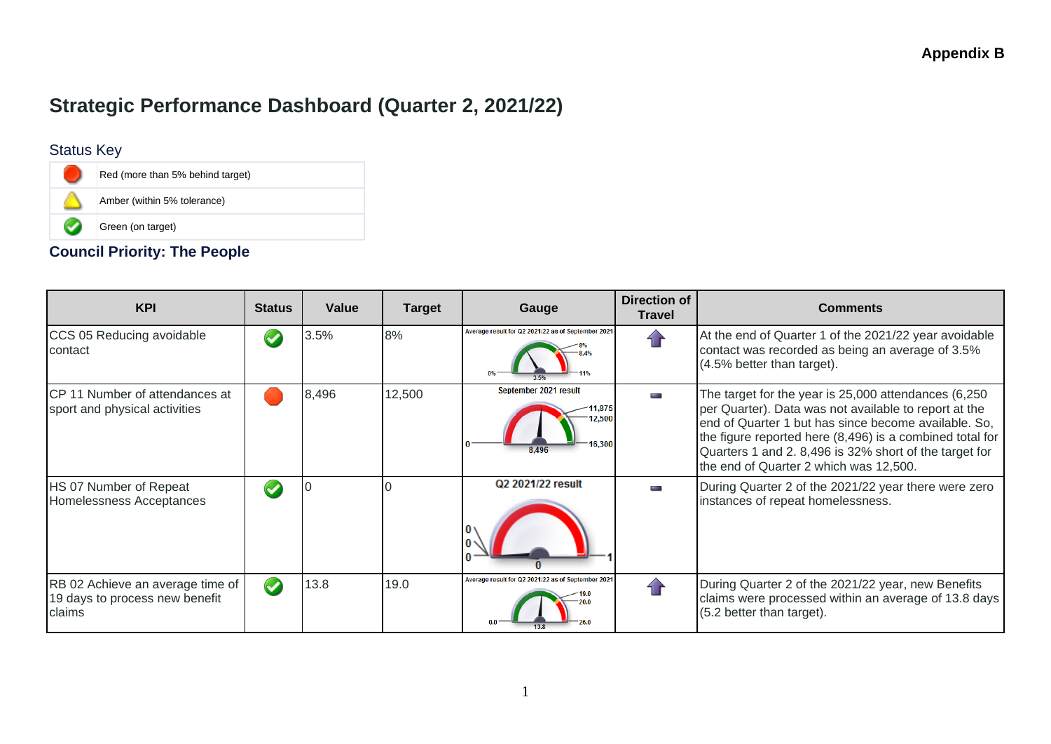# **Strategic Performance Dashboard (Quarter 2, 2021/22)**

#### Status Key



#### **Council Priority: The People**

| <b>KPI</b>                                                                   | <b>Status</b> | Value | <b>Target</b> | Gauge                                              | <b>Direction of</b><br><b>Travel</b> | <b>Comments</b>                                                                                                                                                                                                                                                                                                                       |
|------------------------------------------------------------------------------|---------------|-------|---------------|----------------------------------------------------|--------------------------------------|---------------------------------------------------------------------------------------------------------------------------------------------------------------------------------------------------------------------------------------------------------------------------------------------------------------------------------------|
| CCS 05 Reducing avoidable<br>contact                                         |               | 3.5%  | 8%            | Average result for Q2 2021/22 as of September 2021 |                                      | At the end of Quarter 1 of the 2021/22 year avoidable<br>contact was recorded as being an average of 3.5%<br>(4.5% better than target).                                                                                                                                                                                               |
| CP 11 Number of attendances at<br>sport and physical activities              |               | 8,496 | 12,500        | September 2021 result<br>11.875<br>12.50<br>8.496  | Ī                                    | The target for the year is 25,000 attendances (6,250<br>per Quarter). Data was not available to report at the<br>end of Quarter 1 but has since become available. So,<br>the figure reported here (8,496) is a combined total for<br>Quarters 1 and 2. 8,496 is 32% short of the target for<br>the end of Quarter 2 which was 12,500. |
| HS 07 Number of Repeat<br>Homelessness Acceptances                           |               |       |               | Q2 2021/22 result                                  |                                      | During Quarter 2 of the 2021/22 year there were zero<br>instances of repeat homelessness.                                                                                                                                                                                                                                             |
| RB 02 Achieve an average time of<br>19 days to process new benefit<br>claims | $\bullet$     | 13.8  | 19.0          | Average result for Q2 2021/22 as of September 2021 |                                      | During Quarter 2 of the 2021/22 year, new Benefits<br>claims were processed within an average of 13.8 days<br>(5.2 better than target).                                                                                                                                                                                               |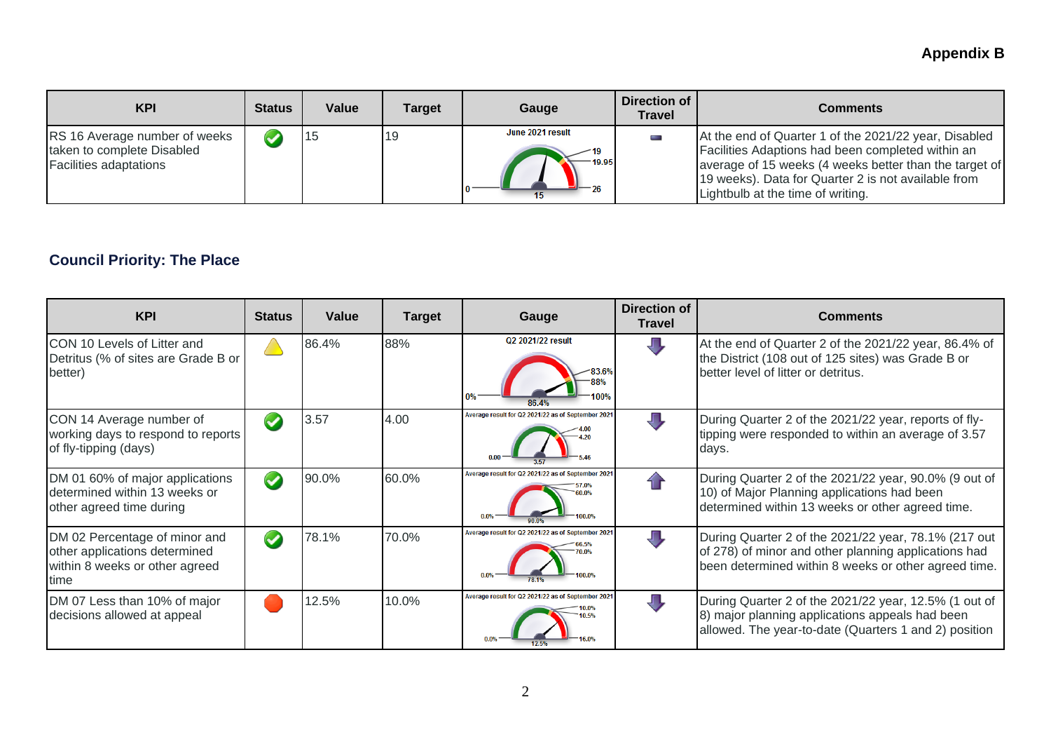## **Appendix B**

| <b>KPI</b>                                                                                          | <b>Status</b> | Value | Target | Gauge                     | Direction of<br>Travel | Comments                                                                                                                                                                                                                                                         |
|-----------------------------------------------------------------------------------------------------|---------------|-------|--------|---------------------------|------------------------|------------------------------------------------------------------------------------------------------------------------------------------------------------------------------------------------------------------------------------------------------------------|
| <b>RS</b> 16 Average number of weeks<br>taken to complete Disabled<br><b>Facilities adaptations</b> |               |       | 19     | June 2021 result<br>19.95 | ۰                      | At the end of Quarter 1 of the 2021/22 year, Disabled<br>Facilities Adaptions had been completed within an<br>average of 15 weeks (4 weeks better than the target of<br>19 weeks). Data for Quarter 2 is not available from<br>Lightbulb at the time of writing. |

## **Council Priority: The Place**

| <b>KPI</b>                                                                                               | <b>Status</b>        | Value | <b>Target</b> | Gauge                                                        | Direction of<br><b>Travel</b> | <b>Comments</b>                                                                                                                                                      |
|----------------------------------------------------------------------------------------------------------|----------------------|-------|---------------|--------------------------------------------------------------|-------------------------------|----------------------------------------------------------------------------------------------------------------------------------------------------------------------|
| <b>CON 10 Levels of Litter and</b><br>Detritus (% of sites are Grade B or<br>better)                     |                      | 86.4% | 88%           | Q2 2021/22 result                                            |                               | At the end of Quarter 2 of the 2021/22 year, 86.4% of<br>the District (108 out of 125 sites) was Grade B or<br>better level of litter or detritus.                   |
| CON 14 Average number of<br>working days to respond to reports<br>of fly-tipping (days)                  | $\blacktriangledown$ | 3.57  | 4.00          | Average result for Q2 2021/22 as of September 2021           | Л                             | During Quarter 2 of the 2021/22 year, reports of fly-<br>tipping were responded to within an average of 3.57<br>days.                                                |
| DM 01 60% of major applications<br>determined within 13 weeks or<br>other agreed time during             | $\blacktriangledown$ | 90.0% | 60.0%         | Average result for Q2 2021/22 as of September 2021<br>100.0% |                               | During Quarter 2 of the 2021/22 year, 90.0% (9 out of<br>10) of Major Planning applications had been<br>determined within 13 weeks or other agreed time.             |
| DM 02 Percentage of minor and<br>other applications determined<br>within 8 weeks or other agreed<br>time | $\blacktriangledown$ | 78.1% | 70.0%         | Average result for Q2 2021/22 as of September 2021           | Д                             | During Quarter 2 of the 2021/22 year, 78.1% (217 out<br>of 278) of minor and other planning applications had<br>been determined within 8 weeks or other agreed time. |
| DM 07 Less than 10% of major<br>decisions allowed at appeal                                              |                      | 12.5% | 10.0%         | Average result for Q2 2021/22 as of September 2021           | Д                             | During Quarter 2 of the 2021/22 year, 12.5% (1 out of<br>8) major planning applications appeals had been<br>allowed. The year-to-date (Quarters 1 and 2) position    |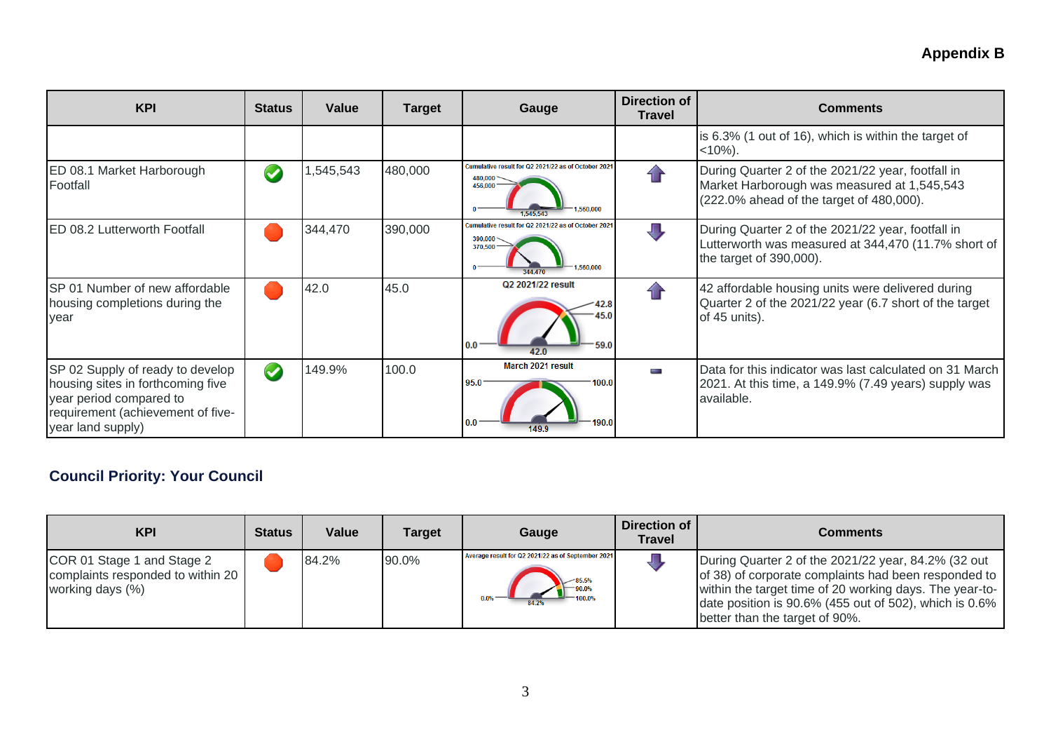| <b>KPI</b>                                                                                                                                                 | <b>Status</b> | Value    | <b>Target</b> | Gauge                                                                                               | Direction of<br><b>Travel</b> | <b>Comments</b>                                                                                                                              |
|------------------------------------------------------------------------------------------------------------------------------------------------------------|---------------|----------|---------------|-----------------------------------------------------------------------------------------------------|-------------------------------|----------------------------------------------------------------------------------------------------------------------------------------------|
|                                                                                                                                                            |               |          |               |                                                                                                     |                               | is 6.3% (1 out of 16), which is within the target of<br>$<10\%$ ).                                                                           |
| ED 08.1 Market Harborough<br>Footfall                                                                                                                      |               | ,545,543 | 480,000       | Cumulative result for Q2 2021/22 as of October 2021<br>480.000<br>456.000<br>1.560.000<br>1.545.543 |                               | During Quarter 2 of the 2021/22 year, footfall in<br>Market Harborough was measured at 1,545,543<br>(222.0% ahead of the target of 480,000). |
| <b>ED 08.2 Lutterworth Footfall</b>                                                                                                                        |               | 344,470  | 390,000       | Cumulative result for Q2 2021/22 as of October 202<br>390.00<br>370.500<br>1.560.000<br>344 470     |                               | During Quarter 2 of the 2021/22 year, footfall in<br>Lutterworth was measured at 344,470 (11.7% short of<br>the target of 390,000).          |
| SP 01 Number of new affordable<br>housing completions during the<br>year                                                                                   |               | 42.0     | 45.0          | Q2 2021/22 result<br>59.0<br>0.0<br>42.0                                                            |                               | 42 affordable housing units were delivered during<br>Quarter 2 of the 2021/22 year (6.7 short of the target<br>of $45$ units).               |
| SP 02 Supply of ready to develop<br>housing sites in forthcoming five<br>year period compared to<br>requirement (achievement of five-<br>year land supply) | $\bullet$     | 149.9%   | 100.0         | March 2021 result<br>95.0<br>100.0<br>0.0<br>149.9                                                  | m.                            | Data for this indicator was last calculated on 31 March<br>2021. At this time, a 149.9% (7.49 years) supply was<br>available.                |

## **Council Priority: Your Council**

| <b>KPI</b>                                                                          | <b>Status</b> | Value | Target | Gauge                                                      | Direction of<br>Travel | Comments                                                                                                                                                                                                                                                              |
|-------------------------------------------------------------------------------------|---------------|-------|--------|------------------------------------------------------------|------------------------|-----------------------------------------------------------------------------------------------------------------------------------------------------------------------------------------------------------------------------------------------------------------------|
| COR 01 Stage 1 and Stage 2<br>complaints responded to within 20<br>working days (%) |               | 84.2% | 90.0%  | Average result for Q2 2021/22 as of September 2021<br>0.0% |                        | During Quarter 2 of the 2021/22 year, 84.2% (32 out<br>of 38) of corporate complaints had been responded to<br>within the target time of 20 working days. The year-to-<br>date position is $90.6\%$ (455 out of 502), which is 0.6%<br>better than the target of 90%. |